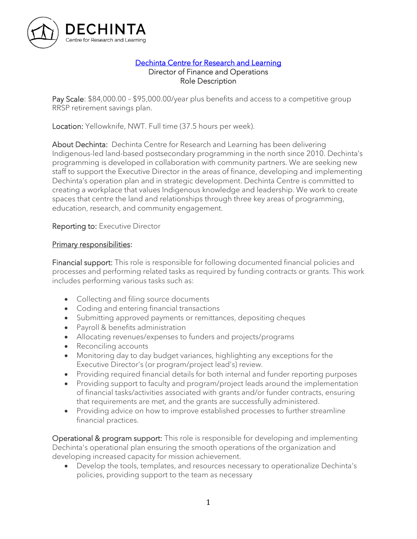

#### [Dechinta Centre for Research and Learning](https://www.dechinta.ca/)  Director of Finance and Operations Role Description

Pay Scale: \$84,000.00 – \$95,000.00/year plus benefits and access to a competitive group RRSP retirement savings plan.

Location: Yellowknife, NWT. Full time (37.5 hours per week).

About Dechinta: Dechinta Centre for Research and Learning has been delivering Indigenous-led land-based postsecondary programming in the north since 2010. Dechinta's programming is developed in collaboration with community partners. We are seeking new staff to support the Executive Director in the areas of finance, developing and implementing Dechinta's operation plan and in strategic development. Dechinta Centre is committed to creating a workplace that values Indigenous knowledge and leadership. We work to create spaces that centre the land and relationships through three key areas of programming, education, research, and community engagement.

### Reporting to: Executive Director

### Primary responsibilities:

Financial support: This role is responsible for following documented financial policies and processes and performing related tasks as required by funding contracts or grants. This work includes performing various tasks such as:

- Collecting and filing source documents
- Coding and entering financial transactions
- Submitting approved payments or remittances, depositing cheques
- Payroll & benefits administration
- Allocating revenues/expenses to funders and projects/programs
- Reconciling accounts
- Monitoring day to day budget variances, highlighting any exceptions for the Executive Director's (or program/project lead's) review.
- Providing required financial details for both internal and funder reporting purposes
- Providing support to faculty and program/project leads around the implementation of financial tasks/activities associated with grants and/or funder contracts, ensuring that requirements are met, and the grants are successfully administered.
- Providing advice on how to improve established processes to further streamline financial practices.

Operational & program support: This role is responsible for developing and implementing Dechinta's operational plan ensuring the smooth operations of the organization and developing increased capacity for mission achievement.

• Develop the tools, templates, and resources necessary to operationalize Dechinta's policies, providing support to the team as necessary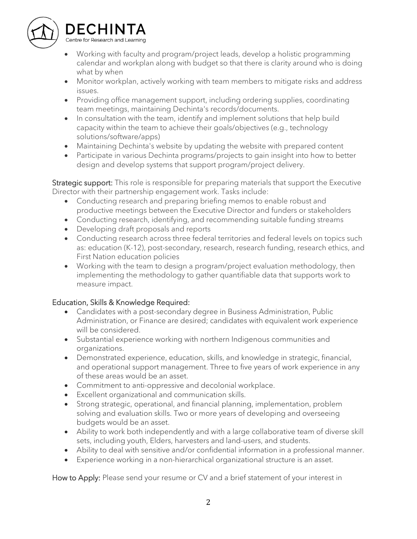

# DECHINTA

Centre for Research and Learning

- Working with faculty and program/project leads, develop a holistic programming calendar and workplan along with budget so that there is clarity around who is doing what by when
- Monitor workplan, actively working with team members to mitigate risks and address issues.
- Providing office management support, including ordering supplies, coordinating team meetings, maintaining Dechinta's records/documents.
- In consultation with the team, identify and implement solutions that help build capacity within the team to achieve their goals/objectives (e.g., technology solutions/software/apps)
- Maintaining Dechinta's website by updating the website with prepared content
- Participate in various Dechinta programs/projects to gain insight into how to better design and develop systems that support program/project delivery.

Strategic support: This role is responsible for preparing materials that support the Executive Director with their partnership engagement work. Tasks include:

- Conducting research and preparing briefing memos to enable robust and productive meetings between the Executive Director and funders or stakeholders
- Conducting research, identifying, and recommending suitable funding streams
- Developing draft proposals and reports
- Conducting research across three federal territories and federal levels on topics such as: education (K-12), post-secondary, research, research funding, research ethics, and First Nation education policies
- Working with the team to design a program/project evaluation methodology, then implementing the methodology to gather quantifiable data that supports work to measure impact.

## Education, Skills & Knowledge Required:

- Candidates with a post-secondary degree in Business Administration, Public Administration, or Finance are desired; candidates with equivalent work experience will be considered.
- Substantial experience working with northern Indigenous communities and organizations.
- Demonstrated experience, education, skills, and knowledge in strategic, financial, and operational support management. Three to five years of work experience in any of these areas would be an asset.
- Commitment to anti-oppressive and decolonial workplace.
- Excellent organizational and communication skills.
- Strong strategic, operational, and financial planning, implementation, problem solving and evaluation skills. Two or more years of developing and overseeing budgets would be an asset.
- Ability to work both independently and with a large collaborative team of diverse skill sets, including youth, Elders, harvesters and land-users, and students.
- Ability to deal with sensitive and/or confidential information in a professional manner.
- Experience working in a non-hierarchical organizational structure is an asset.

How to Apply: Please send your resume or CV and a brief statement of your interest in